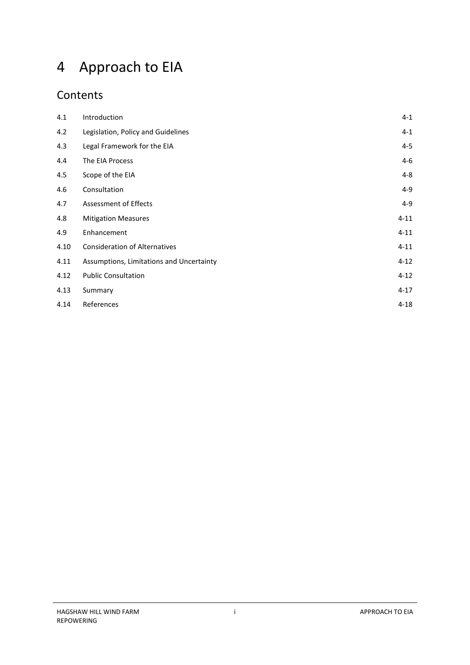# 4 Approach to EIA

# **Contents**

| 4.1  | Introduction                             | $4 - 1$  |
|------|------------------------------------------|----------|
| 4.2  | Legislation, Policy and Guidelines       | $4 - 1$  |
| 4.3  | Legal Framework for the EIA              | $4 - 5$  |
| 4.4  | The EIA Process                          | 4-6      |
| 4.5  | Scope of the EIA                         | $4 - 8$  |
| 4.6  | Consultation                             | $4 - 9$  |
| 4.7  | Assessment of Effects                    | $4 - 9$  |
| 4.8  | <b>Mitigation Measures</b>               | $4 - 11$ |
| 4.9  | Enhancement                              | $4 - 11$ |
| 4.10 | <b>Consideration of Alternatives</b>     | $4 - 11$ |
| 4.11 | Assumptions, Limitations and Uncertainty | $4 - 12$ |
| 4.12 | <b>Public Consultation</b>               | $4 - 12$ |
| 4.13 | Summary                                  | $4 - 17$ |
| 4.14 | References                               | $4 - 18$ |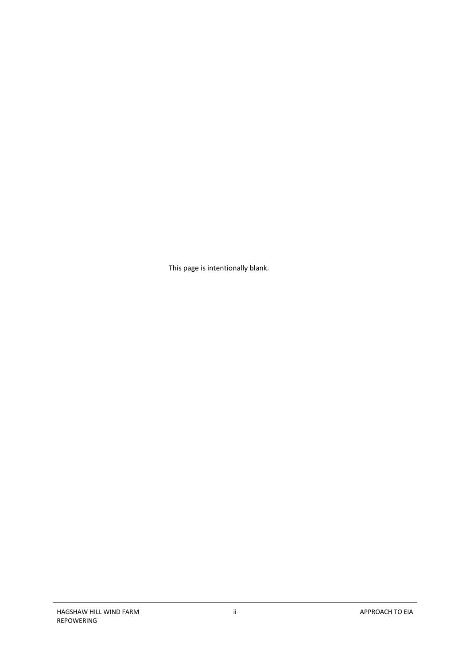This page is intentionally blank.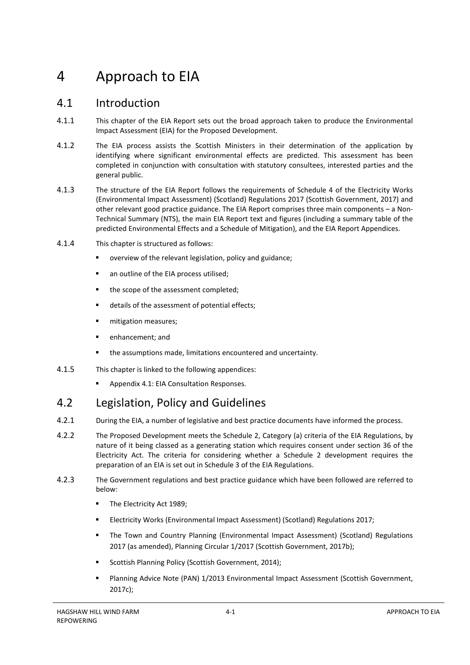# 4 Approach to EIA

## <span id="page-2-0"></span>4.1 Introduction

- 4.1.1 This chapter of the EIA Report sets out the broad approach taken to produce the Environmental Impact Assessment (EIA) for the Proposed Development.
- 4.1.2 The EIA process assists the Scottish Ministers in their determination of the application by identifying where significant environmental effects are predicted. This assessment has been completed in conjunction with consultation with statutory consultees, interested parties and the general public.
- 4.1.3 The structure of the EIA Report follows the requirements of Schedule 4 of the Electricity Works (Environmental Impact Assessment) (Scotland) Regulations 2017 (Scottish Government, 2017) and other relevant good practice guidance. The EIA Report comprises three main components – a Non-Technical Summary (NTS), the main EIA Report text and figures (including a summary table of the predicted Environmental Effects and a Schedule of Mitigation), and the EIA Report Appendices.
- 4.1.4 This chapter is structured as follows:
	- overview of the relevant legislation, policy and guidance;
	- an outline of the EIA process utilised;
	- the scope of the assessment completed;
	- **details of the assessment of potential effects;**
	- **numitigation measures;**
	- enhancement; and
	- the assumptions made, limitations encountered and uncertainty.
- 4.1.5 This chapter is linked to the following appendices:
	- Appendix 4.1: EIA Consultation Responses.

## <span id="page-2-1"></span>4.2 Legislation, Policy and Guidelines

- 4.2.1 During the EIA, a number of legislative and best practice documents have informed the process.
- 4.2.2 The Proposed Development meets the Schedule 2, Category (a) criteria of the EIA Regulations, by nature of it being classed as a generating station which requires consent under section 36 of the Electricity Act. The criteria for considering whether a Schedule 2 development requires the preparation of an EIA is set out in Schedule 3 of the EIA Regulations.
- 4.2.3 The Government regulations and best practice guidance which have been followed are referred to below:
	- **The Electricity Act 1989;**
	- **Electricity Works (Environmental Impact Assessment) (Scotland) Regulations 2017;**
	- The Town and Country Planning (Environmental Impact Assessment) (Scotland) Regulations 2017 (as amended), Planning Circular 1/2017 (Scottish Government, 2017b);
	- **Scottish Planning Policy (Scottish Government, 2014);**
	- Planning Advice Note (PAN) 1/2013 Environmental Impact Assessment (Scottish Government, 2017c);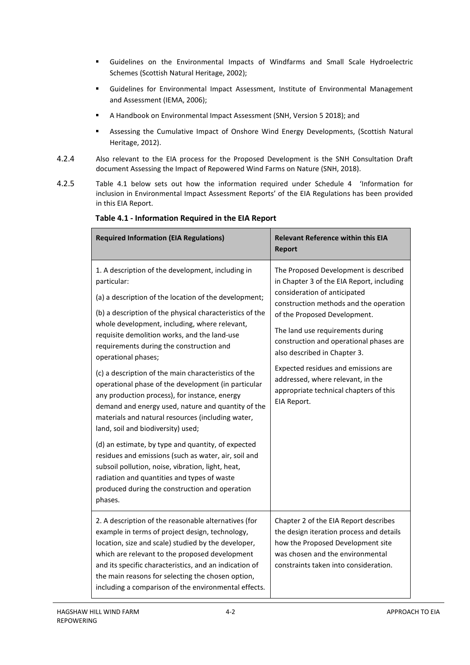- Guidelines on the Environmental Impacts of Windfarms and Small Scale Hydroelectric Schemes (Scottish Natural Heritage, 2002);
- Guidelines for Environmental Impact Assessment, Institute of Environmental Management and Assessment (IEMA, 2006);
- A Handbook on Environmental Impact Assessment (SNH, Version 5 2018); and
- Assessing the Cumulative Impact of Onshore Wind Energy Developments, (Scottish Natural Heritage, 2012).
- 4.2.4 Also relevant to the EIA process for the Proposed Development is the SNH Consultation Draft document Assessing the Impact of Repowered Wind Farms on Nature (SNH, 2018).
- 4.2.5 Table 4.1 below sets out how the information required under Schedule 4 'Information for inclusion in Environmental Impact Assessment Reports' of the EIA Regulations has been provided in this EIA Report.

| <b>Required Information (EIA Regulations)</b>                                                                                                                                                                                                                                                                                                                                                                                                                                                                                                                                                                                                                                                                                                                                                                                                                                                                                                             | <b>Relevant Reference within this EIA</b><br><b>Report</b>                                                                                                                                                                                                                                                                                                                                                                                       |
|-----------------------------------------------------------------------------------------------------------------------------------------------------------------------------------------------------------------------------------------------------------------------------------------------------------------------------------------------------------------------------------------------------------------------------------------------------------------------------------------------------------------------------------------------------------------------------------------------------------------------------------------------------------------------------------------------------------------------------------------------------------------------------------------------------------------------------------------------------------------------------------------------------------------------------------------------------------|--------------------------------------------------------------------------------------------------------------------------------------------------------------------------------------------------------------------------------------------------------------------------------------------------------------------------------------------------------------------------------------------------------------------------------------------------|
| 1. A description of the development, including in<br>particular:<br>(a) a description of the location of the development;<br>(b) a description of the physical characteristics of the<br>whole development, including, where relevant,<br>requisite demolition works, and the land-use<br>requirements during the construction and<br>operational phases;<br>(c) a description of the main characteristics of the<br>operational phase of the development (in particular<br>any production process), for instance, energy<br>demand and energy used, nature and quantity of the<br>materials and natural resources (including water,<br>land, soil and biodiversity) used;<br>(d) an estimate, by type and quantity, of expected<br>residues and emissions (such as water, air, soil and<br>subsoil pollution, noise, vibration, light, heat,<br>radiation and quantities and types of waste<br>produced during the construction and operation<br>phases. | The Proposed Development is described<br>in Chapter 3 of the EIA Report, including<br>consideration of anticipated<br>construction methods and the operation<br>of the Proposed Development.<br>The land use requirements during<br>construction and operational phases are<br>also described in Chapter 3.<br>Expected residues and emissions are<br>addressed, where relevant, in the<br>appropriate technical chapters of this<br>EIA Report. |
| 2. A description of the reasonable alternatives (for<br>example in terms of project design, technology,<br>location, size and scale) studied by the developer,<br>which are relevant to the proposed development<br>and its specific characteristics, and an indication of<br>the main reasons for selecting the chosen option,<br>including a comparison of the environmental effects.                                                                                                                                                                                                                                                                                                                                                                                                                                                                                                                                                                   | Chapter 2 of the EIA Report describes<br>the design iteration process and details<br>how the Proposed Development site<br>was chosen and the environmental<br>constraints taken into consideration.                                                                                                                                                                                                                                              |

#### **Table 4.1 - Information Required in the EIA Report**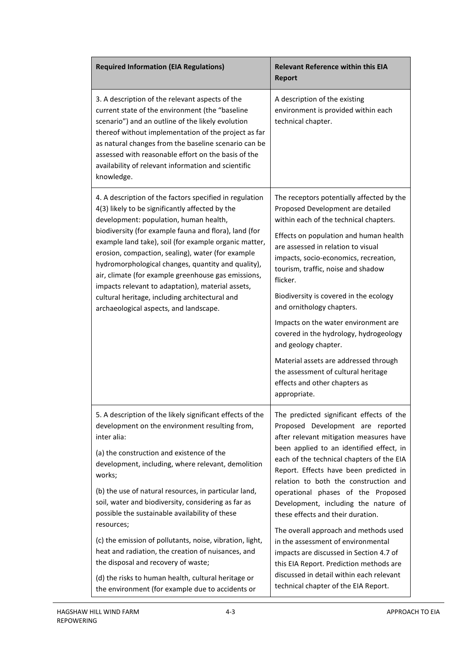| <b>Required Information (EIA Regulations)</b>                                                                                                                                                                                                                                                                                                                                                                                                                                                                                                                                                                                                                                               | <b>Relevant Reference within this EIA</b><br><b>Report</b>                                                                                                                                                                                                                                                                                                                                                                                                                                                                                                                                                                                                                       |
|---------------------------------------------------------------------------------------------------------------------------------------------------------------------------------------------------------------------------------------------------------------------------------------------------------------------------------------------------------------------------------------------------------------------------------------------------------------------------------------------------------------------------------------------------------------------------------------------------------------------------------------------------------------------------------------------|----------------------------------------------------------------------------------------------------------------------------------------------------------------------------------------------------------------------------------------------------------------------------------------------------------------------------------------------------------------------------------------------------------------------------------------------------------------------------------------------------------------------------------------------------------------------------------------------------------------------------------------------------------------------------------|
| 3. A description of the relevant aspects of the<br>current state of the environment (the "baseline<br>scenario") and an outline of the likely evolution<br>thereof without implementation of the project as far<br>as natural changes from the baseline scenario can be<br>assessed with reasonable effort on the basis of the<br>availability of relevant information and scientific<br>knowledge.                                                                                                                                                                                                                                                                                         | A description of the existing<br>environment is provided within each<br>technical chapter.                                                                                                                                                                                                                                                                                                                                                                                                                                                                                                                                                                                       |
| 4. A description of the factors specified in regulation<br>4(3) likely to be significantly affected by the<br>development: population, human health,<br>biodiversity (for example fauna and flora), land (for<br>example land take), soil (for example organic matter,<br>erosion, compaction, sealing), water (for example<br>hydromorphological changes, quantity and quality),<br>air, climate (for example greenhouse gas emissions,<br>impacts relevant to adaptation), material assets,<br>cultural heritage, including architectural and<br>archaeological aspects, and landscape.                                                                                                   | The receptors potentially affected by the<br>Proposed Development are detailed<br>within each of the technical chapters.<br>Effects on population and human health<br>are assessed in relation to visual<br>impacts, socio-economics, recreation,<br>tourism, traffic, noise and shadow<br>flicker.<br>Biodiversity is covered in the ecology<br>and ornithology chapters.<br>Impacts on the water environment are<br>covered in the hydrology, hydrogeology<br>and geology chapter.<br>Material assets are addressed through<br>the assessment of cultural heritage<br>effects and other chapters as<br>appropriate.                                                            |
| 5. A description of the likely significant effects of the<br>development on the environment resulting from,<br>inter alia:<br>(a) the construction and existence of the<br>development, including, where relevant, demolition<br>works;<br>(b) the use of natural resources, in particular land,<br>soil, water and biodiversity, considering as far as<br>possible the sustainable availability of these<br>resources;<br>(c) the emission of pollutants, noise, vibration, light,<br>heat and radiation, the creation of nuisances, and<br>the disposal and recovery of waste;<br>(d) the risks to human health, cultural heritage or<br>the environment (for example due to accidents or | The predicted significant effects of the<br>Proposed Development are reported<br>after relevant mitigation measures have<br>been applied to an identified effect, in<br>each of the technical chapters of the EIA<br>Report. Effects have been predicted in<br>relation to both the construction and<br>operational phases of the Proposed<br>Development, including the nature of<br>these effects and their duration.<br>The overall approach and methods used<br>in the assessment of environmental<br>impacts are discussed in Section 4.7 of<br>this EIA Report. Prediction methods are<br>discussed in detail within each relevant<br>technical chapter of the EIA Report. |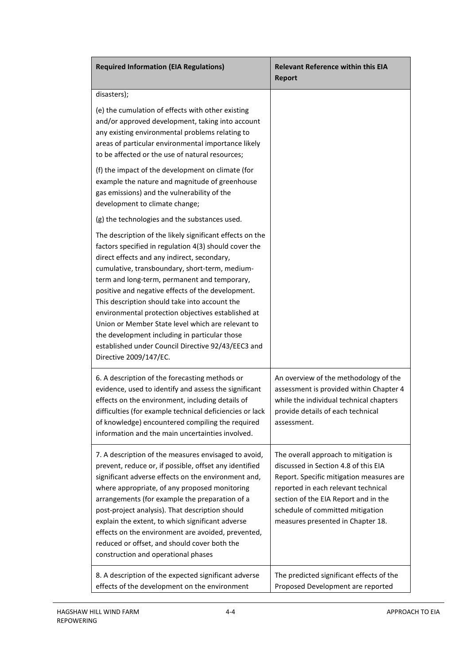| <b>Required Information (EIA Regulations)</b>                                                                                                                                                                                                                                                                                                                                                                                                                                                                                                                                                                        | <b>Relevant Reference within this EIA</b><br><b>Report</b>                                                                                                                                                                                                                        |
|----------------------------------------------------------------------------------------------------------------------------------------------------------------------------------------------------------------------------------------------------------------------------------------------------------------------------------------------------------------------------------------------------------------------------------------------------------------------------------------------------------------------------------------------------------------------------------------------------------------------|-----------------------------------------------------------------------------------------------------------------------------------------------------------------------------------------------------------------------------------------------------------------------------------|
| disasters);                                                                                                                                                                                                                                                                                                                                                                                                                                                                                                                                                                                                          |                                                                                                                                                                                                                                                                                   |
| (e) the cumulation of effects with other existing<br>and/or approved development, taking into account<br>any existing environmental problems relating to<br>areas of particular environmental importance likely<br>to be affected or the use of natural resources;                                                                                                                                                                                                                                                                                                                                                   |                                                                                                                                                                                                                                                                                   |
| (f) the impact of the development on climate (for<br>example the nature and magnitude of greenhouse<br>gas emissions) and the vulnerability of the<br>development to climate change;                                                                                                                                                                                                                                                                                                                                                                                                                                 |                                                                                                                                                                                                                                                                                   |
| (g) the technologies and the substances used.                                                                                                                                                                                                                                                                                                                                                                                                                                                                                                                                                                        |                                                                                                                                                                                                                                                                                   |
| The description of the likely significant effects on the<br>factors specified in regulation 4(3) should cover the<br>direct effects and any indirect, secondary,<br>cumulative, transboundary, short-term, medium-<br>term and long-term, permanent and temporary,<br>positive and negative effects of the development.<br>This description should take into account the<br>environmental protection objectives established at<br>Union or Member State level which are relevant to<br>the development including in particular those<br>established under Council Directive 92/43/EEC3 and<br>Directive 2009/147/EC. |                                                                                                                                                                                                                                                                                   |
| 6. A description of the forecasting methods or<br>evidence, used to identify and assess the significant<br>effects on the environment, including details of<br>difficulties (for example technical deficiencies or lack<br>of knowledge) encountered compiling the required<br>information and the main uncertainties involved.                                                                                                                                                                                                                                                                                      | An overview of the methodology of the<br>assessment is provided within Chapter 4<br>while the individual technical chapters<br>provide details of each technical<br>assessment.                                                                                                   |
| 7. A description of the measures envisaged to avoid,<br>prevent, reduce or, if possible, offset any identified<br>significant adverse effects on the environment and,<br>where appropriate, of any proposed monitoring<br>arrangements (for example the preparation of a<br>post-project analysis). That description should<br>explain the extent, to which significant adverse<br>effects on the environment are avoided, prevented,<br>reduced or offset, and should cover both the<br>construction and operational phases                                                                                         | The overall approach to mitigation is<br>discussed in Section 4.8 of this EIA<br>Report. Specific mitigation measures are<br>reported in each relevant technical<br>section of the EIA Report and in the<br>schedule of committed mitigation<br>measures presented in Chapter 18. |
| 8. A description of the expected significant adverse<br>effects of the development on the environment                                                                                                                                                                                                                                                                                                                                                                                                                                                                                                                | The predicted significant effects of the<br>Proposed Development are reported                                                                                                                                                                                                     |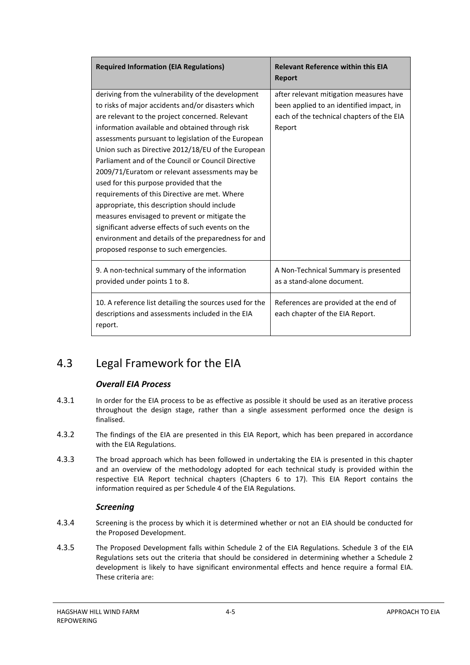| <b>Required Information (EIA Regulations)</b>                                                                                                                                                                                                                                                                                                                                                                                                                                                                                                                                                                                                                                                                                                                                          | <b>Relevant Reference within this EIA</b><br>Report                                                                                        |
|----------------------------------------------------------------------------------------------------------------------------------------------------------------------------------------------------------------------------------------------------------------------------------------------------------------------------------------------------------------------------------------------------------------------------------------------------------------------------------------------------------------------------------------------------------------------------------------------------------------------------------------------------------------------------------------------------------------------------------------------------------------------------------------|--------------------------------------------------------------------------------------------------------------------------------------------|
| deriving from the vulnerability of the development<br>to risks of major accidents and/or disasters which<br>are relevant to the project concerned. Relevant<br>information available and obtained through risk<br>assessments pursuant to legislation of the European<br>Union such as Directive 2012/18/EU of the European<br>Parliament and of the Council or Council Directive<br>2009/71/Euratom or relevant assessments may be<br>used for this purpose provided that the<br>requirements of this Directive are met. Where<br>appropriate, this description should include<br>measures envisaged to prevent or mitigate the<br>significant adverse effects of such events on the<br>environment and details of the preparedness for and<br>proposed response to such emergencies. | after relevant mitigation measures have<br>been applied to an identified impact, in<br>each of the technical chapters of the EIA<br>Report |
| 9. A non-technical summary of the information<br>provided under points 1 to 8.                                                                                                                                                                                                                                                                                                                                                                                                                                                                                                                                                                                                                                                                                                         | A Non-Technical Summary is presented<br>as a stand-alone document.                                                                         |
| 10. A reference list detailing the sources used for the<br>descriptions and assessments included in the EIA<br>report.                                                                                                                                                                                                                                                                                                                                                                                                                                                                                                                                                                                                                                                                 | References are provided at the end of<br>each chapter of the EIA Report.                                                                   |

# <span id="page-6-0"></span>4.3 Legal Framework for the EIA

### *Overall EIA Process*

- 4.3.1 In order for the EIA process to be as effective as possible it should be used as an iterative process throughout the design stage, rather than a single assessment performed once the design is finalised.
- 4.3.2 The findings of the EIA are presented in this EIA Report, which has been prepared in accordance with the EIA Regulations.
- 4.3.3 The broad approach which has been followed in undertaking the EIA is presented in this chapter and an overview of the methodology adopted for each technical study is provided within the respective EIA Report technical chapters (Chapters 6 to 17). This EIA Report contains the information required as per Schedule 4 of the EIA Regulations.

#### *Screening*

- 4.3.4 Screening is the process by which it is determined whether or not an EIA should be conducted for the Proposed Development.
- 4.3.5 The Proposed Development falls within Schedule 2 of the EIA Regulations. Schedule 3 of the EIA Regulations sets out the criteria that should be considered in determining whether a Schedule 2 development is likely to have significant environmental effects and hence require a formal EIA. These criteria are: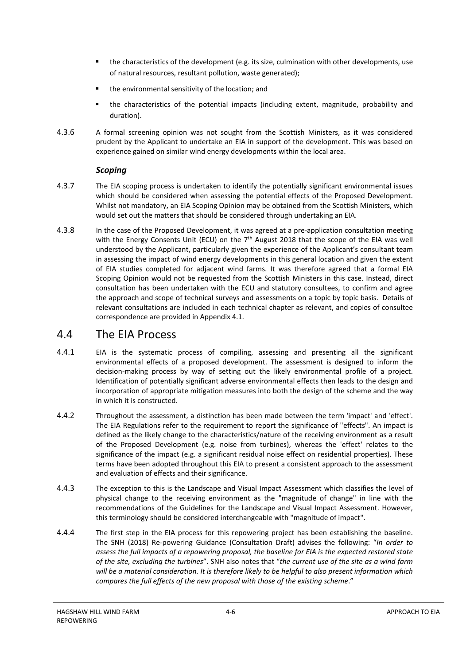- the characteristics of the development (e.g. its size, culmination with other developments, use of natural resources, resultant pollution, waste generated);
- the environmental sensitivity of the location; and
- the characteristics of the potential impacts (including extent, magnitude, probability and duration).
- 4.3.6 A formal screening opinion was not sought from the Scottish Ministers, as it was considered prudent by the Applicant to undertake an EIA in support of the development. This was based on experience gained on similar wind energy developments within the local area.

#### *Scoping*

- 4.3.7 The EIA scoping process is undertaken to identify the potentially significant environmental issues which should be considered when assessing the potential effects of the Proposed Development. Whilst not mandatory, an EIA Scoping Opinion may be obtained from the Scottish Ministers, which would set out the matters that should be considered through undertaking an EIA.
- 4.3.8 In the case of the Proposed Development, it was agreed at a pre-application consultation meeting with the Energy Consents Unit (ECU) on the  $7<sup>th</sup>$  August 2018 that the scope of the EIA was well understood by the Applicant, particularly given the experience of the Applicant's consultant team in assessing the impact of wind energy developments in this general location and given the extent of EIA studies completed for adjacent wind farms. It was therefore agreed that a formal EIA Scoping Opinion would not be requested from the Scottish Ministers in this case. Instead, direct consultation has been undertaken with the ECU and statutory consultees, to confirm and agree the approach and scope of technical surveys and assessments on a topic by topic basis. Details of relevant consultations are included in each technical chapter as relevant, and copies of consultee correspondence are provided in Appendix 4.1.

## <span id="page-7-0"></span>4.4 The EIA Process

- 4.4.1 EIA is the systematic process of compiling, assessing and presenting all the significant environmental effects of a proposed development. The assessment is designed to inform the decision-making process by way of setting out the likely environmental profile of a project. Identification of potentially significant adverse environmental effects then leads to the design and incorporation of appropriate mitigation measures into both the design of the scheme and the way in which it is constructed.
- 4.4.2 Throughout the assessment, a distinction has been made between the term 'impact' and 'effect'. The EIA Regulations refer to the requirement to report the significance of "effects". An impact is defined as the likely change to the characteristics/nature of the receiving environment as a result of the Proposed Development (e.g. noise from turbines), whereas the 'effect' relates to the significance of the impact (e.g. a significant residual noise effect on residential properties). These terms have been adopted throughout this EIA to present a consistent approach to the assessment and evaluation of effects and their significance.
- 4.4.3 The exception to this is the Landscape and Visual Impact Assessment which classifies the level of physical change to the receiving environment as the "magnitude of change" in line with the recommendations of the Guidelines for the Landscape and Visual Impact Assessment. However, this terminology should be considered interchangeable with "magnitude of impact".
- 4.4.4 The first step in the EIA process for this repowering project has been establishing the baseline. The SNH (2018) Re-powering Guidance (Consultation Draft) advises the following: "*In order to assess the full impacts of a repowering proposal, the baseline for EIA is the expected restored state of the site, excluding the turbines*". SNH also notes that "*the current use of the site as a wind farm will be a material consideration. It is therefore likely to be helpful to also present information which compares the full effects of the new proposal with those of the existing scheme*."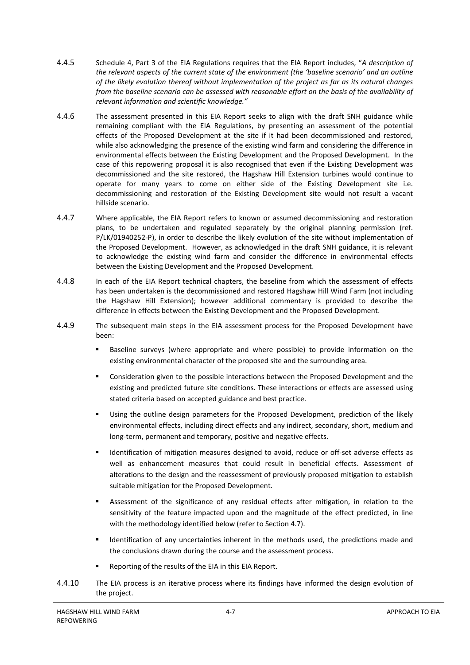- 4.4.5 Schedule 4, Part 3 of the EIA Regulations requires that the EIA Report includes, "*A description of the relevant aspects of the current state of the environment (the 'baseline scenario' and an outline of the likely evolution thereof without implementation of the project as far as its natural changes from the baseline scenario can be assessed with reasonable effort on the basis of the availability of relevant information and scientific knowledge."*
- 4.4.6 The assessment presented in this EIA Report seeks to align with the draft SNH guidance while remaining compliant with the EIA Regulations, by presenting an assessment of the potential effects of the Proposed Development at the site if it had been decommissioned and restored, while also acknowledging the presence of the existing wind farm and considering the difference in environmental effects between the Existing Development and the Proposed Development. In the case of this repowering proposal it is also recognised that even if the Existing Development was decommissioned and the site restored, the Hagshaw Hill Extension turbines would continue to operate for many years to come on either side of the Existing Development site i.e. decommissioning and restoration of the Existing Development site would not result a vacant hillside scenario.
- 4.4.7 Where applicable, the EIA Report refers to known or assumed decommissioning and restoration plans, to be undertaken and regulated separately by the original planning permission (ref. P/LK/01940252-P), in order to describe the likely evolution of the site without implementation of the Proposed Development. However, as acknowledged in the draft SNH guidance, it is relevant to acknowledge the existing wind farm and consider the difference in environmental effects between the Existing Development and the Proposed Development.
- 4.4.8 In each of the EIA Report technical chapters, the baseline from which the assessment of effects has been undertaken is the decommissioned and restored Hagshaw Hill Wind Farm (not including the Hagshaw Hill Extension); however additional commentary is provided to describe the difference in effects between the Existing Development and the Proposed Development.
- 4.4.9 The subsequent main steps in the EIA assessment process for the Proposed Development have been:
	- **Baseline surveys (where appropriate and where possible) to provide information on the** existing environmental character of the proposed site and the surrounding area.
	- Consideration given to the possible interactions between the Proposed Development and the existing and predicted future site conditions. These interactions or effects are assessed using stated criteria based on accepted guidance and best practice.
	- Using the outline design parameters for the Proposed Development, prediction of the likely environmental effects, including direct effects and any indirect, secondary, short, medium and long-term, permanent and temporary, positive and negative effects.
	- Identification of mitigation measures designed to avoid, reduce or off-set adverse effects as well as enhancement measures that could result in beneficial effects. Assessment of alterations to the design and the reassessment of previously proposed mitigation to establish suitable mitigation for the Proposed Development.
	- Assessment of the significance of any residual effects after mitigation, in relation to the sensitivity of the feature impacted upon and the magnitude of the effect predicted, in line with the methodology identified below (refer to Section 4.7).
	- **IDENTIFICATION IS A UNITE 12 IN EXECUTE:** Inherent in the methods used, the predictions made and the conclusions drawn during the course and the assessment process.
	- Reporting of the results of the EIA in this EIA Report.
- 4.4.10 The EIA process is an iterative process where its findings have informed the design evolution of the project.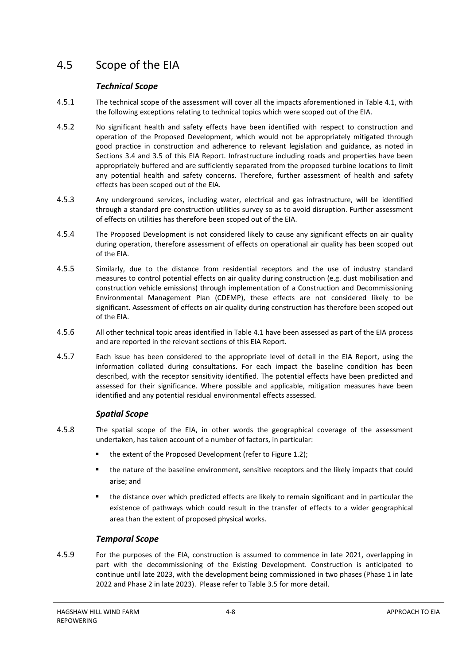## <span id="page-9-0"></span>4.5 Scope of the EIA

#### *Technical Scope*

- 4.5.1 The technical scope of the assessment will cover all the impacts aforementioned in Table 4.1, with the following exceptions relating to technical topics which were scoped out of the EIA.
- 4.5.2 No significant health and safety effects have been identified with respect to construction and operation of the Proposed Development, which would not be appropriately mitigated through good practice in construction and adherence to relevant legislation and guidance, as noted in Sections 3.4 and 3.5 of this EIA Report. Infrastructure including roads and properties have been appropriately buffered and are sufficiently separated from the proposed turbine locations to limit any potential health and safety concerns. Therefore, further assessment of health and safety effects has been scoped out of the EIA.
- 4.5.3 Any underground services, including water, electrical and gas infrastructure, will be identified through a standard pre-construction utilities survey so as to avoid disruption. Further assessment of effects on utilities has therefore been scoped out of the EIA.
- 4.5.4 The Proposed Development is not considered likely to cause any significant effects on air quality during operation, therefore assessment of effects on operational air quality has been scoped out of the EIA.
- 4.5.5 Similarly, due to the distance from residential receptors and the use of industry standard measures to control potential effects on air quality during construction (e.g. dust mobilisation and construction vehicle emissions) through implementation of a Construction and Decommissioning Environmental Management Plan (CDEMP), these effects are not considered likely to be significant. Assessment of effects on air quality during construction has therefore been scoped out of the EIA.
- 4.5.6 All other technical topic areas identified in Table 4.1 have been assessed as part of the EIA process and are reported in the relevant sections of this EIA Report.
- 4.5.7 Each issue has been considered to the appropriate level of detail in the EIA Report, using the information collated during consultations. For each impact the baseline condition has been described, with the receptor sensitivity identified. The potential effects have been predicted and assessed for their significance. Where possible and applicable, mitigation measures have been identified and any potential residual environmental effects assessed.

#### *Spatial Scope*

- 4.5.8 The spatial scope of the EIA, in other words the geographical coverage of the assessment undertaken, has taken account of a number of factors, in particular:
	- the extent of the Proposed Development (refer to Figure 1.2);
	- the nature of the baseline environment, sensitive receptors and the likely impacts that could arise; and
	- the distance over which predicted effects are likely to remain significant and in particular the existence of pathways which could result in the transfer of effects to a wider geographical area than the extent of proposed physical works.

### *Temporal Scope*

4.5.9 For the purposes of the EIA, construction is assumed to commence in late 2021, overlapping in part with the decommissioning of the Existing Development. Construction is anticipated to continue until late 2023, with the development being commissioned in two phases (Phase 1 in late 2022 and Phase 2 in late 2023). Please refer to Table 3.5 for more detail.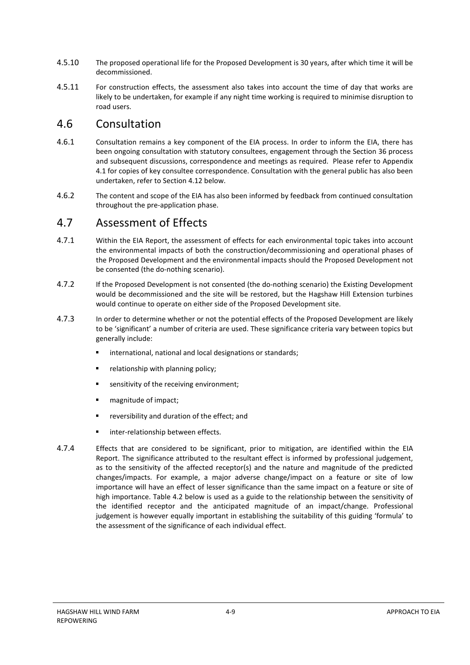- 4.5.10 The proposed operational life for the Proposed Development is 30 years, after which time it will be decommissioned.
- 4.5.11 For construction effects, the assessment also takes into account the time of day that works are likely to be undertaken, for example if any night time working is required to minimise disruption to road users.

## <span id="page-10-0"></span>4.6 Consultation

- 4.6.1 Consultation remains a key component of the EIA process. In order to inform the EIA, there has been ongoing consultation with statutory consultees, engagement through the Section 36 process and subsequent discussions, correspondence and meetings as required. Please refer to Appendix 4.1 for copies of key consultee correspondence. Consultation with the general public has also been undertaken, refer to Section 4.12 below.
- 4.6.2 The content and scope of the EIA has also been informed by feedback from continued consultation throughout the pre-application phase.

## <span id="page-10-1"></span>4.7 Assessment of Effects

- 4.7.1 Within the EIA Report, the assessment of effects for each environmental topic takes into account the environmental impacts of both the construction/decommissioning and operational phases of the Proposed Development and the environmental impacts should the Proposed Development not be consented (the do-nothing scenario).
- 4.7.2 If the Proposed Development is not consented (the do-nothing scenario) the Existing Development would be decommissioned and the site will be restored, but the Hagshaw Hill Extension turbines would continue to operate on either side of the Proposed Development site.
- 4.7.3 In order to determine whether or not the potential effects of the Proposed Development are likely to be 'significant' a number of criteria are used. These significance criteria vary between topics but generally include:
	- international, national and local designations or standards;
	- $\blacksquare$  relationship with planning policy;
	- **EXE** sensitivity of the receiving environment;
	- **nagnitude of impact;**
	- reversibility and duration of the effect; and
	- **Inter-relationship between effects.**
- 4.7.4 Effects that are considered to be significant, prior to mitigation, are identified within the EIA Report. The significance attributed to the resultant effect is informed by professional judgement, as to the sensitivity of the affected receptor(s) and the nature and magnitude of the predicted changes/impacts. For example, a major adverse change/impact on a feature or site of low importance will have an effect of lesser significance than the same impact on a feature or site of high importance. Table 4.2 below is used as a guide to the relationship between the sensitivity of the identified receptor and the anticipated magnitude of an impact/change. Professional judgement is however equally important in establishing the suitability of this guiding 'formula' to the assessment of the significance of each individual effect.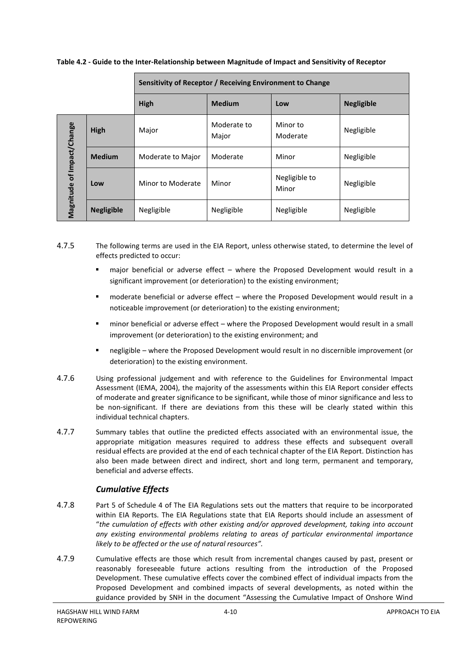#### **Table 4.2 - Guide to the Inter-Relationship between Magnitude of Impact and Sensitivity of Receptor**

|                            |                   | Sensitivity of Receptor / Receiving Environment to Change |                      |                        |                   |
|----------------------------|-------------------|-----------------------------------------------------------|----------------------|------------------------|-------------------|
|                            |                   | High                                                      | <b>Medium</b>        | Low                    | <b>Negligible</b> |
| Magnitude of Impact/Change | High              | Major                                                     | Moderate to<br>Major | Minor to<br>Moderate   | Negligible        |
|                            | <b>Medium</b>     | Moderate to Major                                         | Moderate             | Minor                  | Negligible        |
|                            | Low               | Minor to Moderate                                         | Minor                | Negligible to<br>Minor | Negligible        |
|                            | <b>Negligible</b> | Negligible                                                | Negligible           | Negligible             | Negligible        |

4.7.5 The following terms are used in the EIA Report, unless otherwise stated, to determine the level of effects predicted to occur:

- major beneficial or adverse effect where the Proposed Development would result in a significant improvement (or deterioration) to the existing environment;
- moderate beneficial or adverse effect where the Proposed Development would result in a noticeable improvement (or deterioration) to the existing environment;
- minor beneficial or adverse effect where the Proposed Development would result in a small improvement (or deterioration) to the existing environment; and
- negligible where the Proposed Development would result in no discernible improvement (or deterioration) to the existing environment.
- 4.7.6 Using professional judgement and with reference to the Guidelines for Environmental Impact Assessment (IEMA, 2004), the majority of the assessments within this EIA Report consider effects of moderate and greater significance to be significant, while those of minor significance and less to be non-significant. If there are deviations from this these will be clearly stated within this individual technical chapters.
- 4.7.7 Summary tables that outline the predicted effects associated with an environmental issue, the appropriate mitigation measures required to address these effects and subsequent overall residual effects are provided at the end of each technical chapter of the EIA Report. Distinction has also been made between direct and indirect, short and long term, permanent and temporary, beneficial and adverse effects.

#### *Cumulative Effects*

- 4.7.8 Part 5 of Schedule 4 of The EIA Regulations sets out the matters that require to be incorporated within EIA Reports. The EIA Regulations state that EIA Reports should include an assessment of "*the cumulation of effects with other existing and/or approved development, taking into account any existing environmental problems relating to areas of particular environmental importance likely to be affected or the use of natural resources".*
- 4.7.9 Cumulative effects are those which result from incremental changes caused by past, present or reasonably foreseeable future actions resulting from the introduction of the Proposed Development. These cumulative effects cover the combined effect of individual impacts from the Proposed Development and combined impacts of several developments, as noted within the guidance provided by SNH in the document "Assessing the Cumulative Impact of Onshore Wind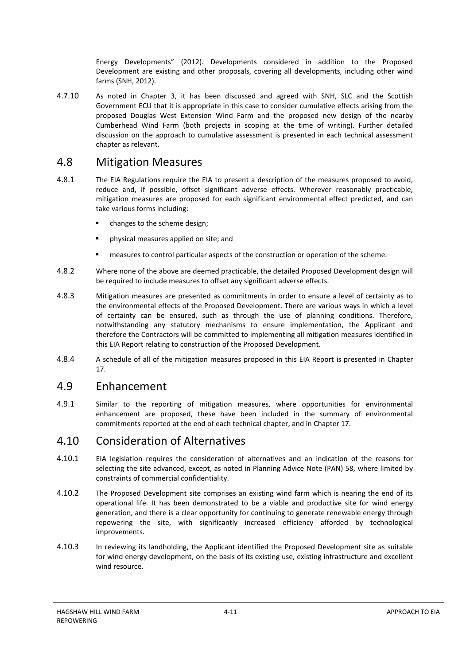Energy Developments" (2012). Developments considered in addition to the Proposed Development are existing and other proposals, covering all developments, including other wind farms (SNH, 2012).

4.7.10 As noted in Chapter 3, it has been discussed and agreed with SNH, SLC and the Scottish Government ECU that it is appropriate in this case to consider cumulative effects arising from the proposed Douglas West Extension Wind Farm and the proposed new design of the nearby Cumberhead Wind Farm (both projects in scoping at the time of writing). Further detailed discussion on the approach to cumulative assessment is presented in each technical assessment chapter as relevant.

## <span id="page-12-0"></span>4.8 Mitigation Measures

- 4.8.1 The EIA Regulations require the EIA to present a description of the measures proposed to avoid, reduce and, if possible, offset significant adverse effects. Wherever reasonably practicable, mitigation measures are proposed for each significant environmental effect predicted, and can take various forms including:
	- changes to the scheme design;
	- **Physical measures applied on site; and**
	- **EXECT** measures to control particular aspects of the construction or operation of the scheme.
- 4.8.2 Where none of the above are deemed practicable, the detailed Proposed Development design will be required to include measures to offset any significant adverse effects.
- 4.8.3 Mitigation measures are presented as commitments in order to ensure a level of certainty as to the environmental effects of the Proposed Development. There are various ways in which a level of certainty can be ensured, such as through the use of planning conditions. Therefore, notwithstanding any statutory mechanisms to ensure implementation, the Applicant and therefore the Contractors will be committed to implementing all mitigation measures identified in this EIA Report relating to construction of the Proposed Development.
- 4.8.4 A schedule of all of the mitigation measures proposed in this EIA Report is presented in Chapter 17.

## <span id="page-12-1"></span>4.9 Enhancement

4.9.1 Similar to the reporting of mitigation measures, where opportunities for environmental enhancement are proposed, these have been included in the summary of environmental commitments reported at the end of each technical chapter, and in Chapter 17.

## <span id="page-12-2"></span>4.10 Consideration of Alternatives

- 4.10.1 EIA legislation requires the consideration of alternatives and an indication of the reasons for selecting the site advanced, except, as noted in Planning Advice Note (PAN) 58, where limited by constraints of commercial confidentiality.
- 4.10.2 The Proposed Development site comprises an existing wind farm which is nearing the end of its operational life. It has been demonstrated to be a viable and productive site for wind energy generation, and there is a clear opportunity for continuing to generate renewable energy through repowering the site, with significantly increased efficiency afforded by technological improvements.
- 4.10.3 In reviewing its landholding, the Applicant identified the Proposed Development site as suitable for wind energy development, on the basis of its existing use, existing infrastructure and excellent wind resource.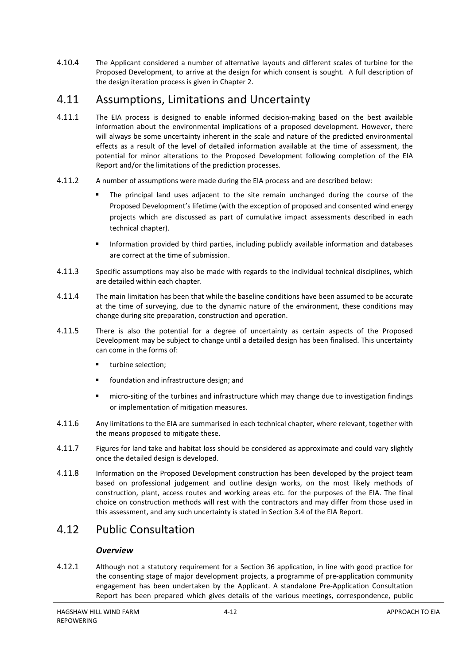4.10.4 The Applicant considered a number of alternative layouts and different scales of turbine for the Proposed Development, to arrive at the design for which consent is sought. A full description of the design iteration process is given in Chapter 2.

## <span id="page-13-0"></span>4.11 Assumptions, Limitations and Uncertainty

- 4.11.1 The EIA process is designed to enable informed decision-making based on the best available information about the environmental implications of a proposed development. However, there will always be some uncertainty inherent in the scale and nature of the predicted environmental effects as a result of the level of detailed information available at the time of assessment, the potential for minor alterations to the Proposed Development following completion of the EIA Report and/or the limitations of the prediction processes.
- 4.11.2 A number of assumptions were made during the EIA process and are described below:
	- The principal land uses adjacent to the site remain unchanged during the course of the Proposed Development's lifetime (with the exception of proposed and consented wind energy projects which are discussed as part of cumulative impact assessments described in each technical chapter).
	- Information provided by third parties, including publicly available information and databases are correct at the time of submission.
- 4.11.3 Specific assumptions may also be made with regards to the individual technical disciplines, which are detailed within each chapter.
- 4.11.4 The main limitation has been that while the baseline conditions have been assumed to be accurate at the time of surveying, due to the dynamic nature of the environment, these conditions may change during site preparation, construction and operation.
- 4.11.5 There is also the potential for a degree of uncertainty as certain aspects of the Proposed Development may be subject to change until a detailed design has been finalised. This uncertainty can come in the forms of:
	- **turbine selection;**
	- **F** foundation and infrastructure design; and
	- micro-siting of the turbines and infrastructure which may change due to investigation findings or implementation of mitigation measures.
- 4.11.6 Any limitations to the EIA are summarised in each technical chapter, where relevant, together with the means proposed to mitigate these.
- 4.11.7 Figures for land take and habitat loss should be considered as approximate and could vary slightly once the detailed design is developed.
- 4.11.8 Information on the Proposed Development construction has been developed by the project team based on professional judgement and outline design works, on the most likely methods of construction, plant, access routes and working areas etc. for the purposes of the EIA. The final choice on construction methods will rest with the contractors and may differ from those used in this assessment, and any such uncertainty is stated in Section 3.4 of the EIA Report.

## <span id="page-13-1"></span>4.12 Public Consultation

#### *Overview*

4.12.1 Although not a statutory requirement for a Section 36 application, in line with good practice for the consenting stage of major development projects, a programme of pre-application community engagement has been undertaken by the Applicant. A standalone Pre-Application Consultation Report has been prepared which gives details of the various meetings, correspondence, public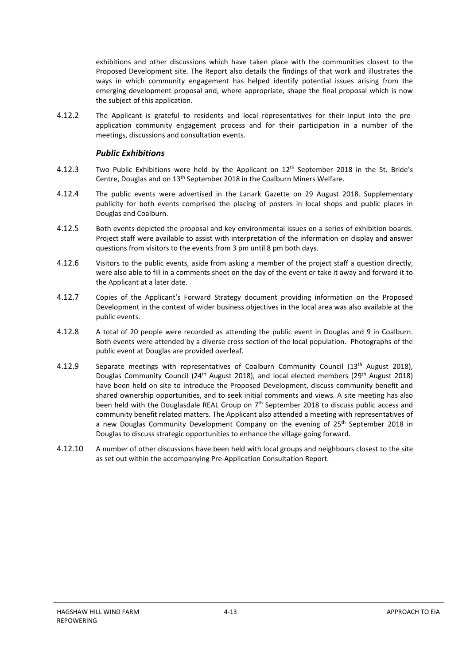exhibitions and other discussions which have taken place with the communities closest to the Proposed Development site. The Report also details the findings of that work and illustrates the ways in which community engagement has helped identify potential issues arising from the emerging development proposal and, where appropriate, shape the final proposal which is now the subject of this application.

4.12.2 The Applicant is grateful to residents and local representatives for their input into the preapplication community engagement process and for their participation in a number of the meetings, discussions and consultation events.

#### *Public Exhibitions*

- 4.12.3 Two Public Exhibitions were held by the Applicant on 12<sup>th</sup> September 2018 in the St. Bride's Centre, Douglas and on 13<sup>th</sup> September 2018 in the Coalburn Miners Welfare.
- 4.12.4 The public events were advertised in the Lanark Gazette on 29 August 2018. Supplementary publicity for both events comprised the placing of posters in local shops and public places in Douglas and Coalburn.
- 4.12.5 Both events depicted the proposal and key environmental issues on a series of exhibition boards. Project staff were available to assist with interpretation of the information on display and answer questions from visitors to the events from 3 pm until 8 pm both days.
- 4.12.6 Visitors to the public events, aside from asking a member of the project staff a question directly, were also able to fill in a comments sheet on the day of the event or take it away and forward it to the Applicant at a later date.
- 4.12.7 Copies of the Applicant's Forward Strategy document providing information on the Proposed Development in the context of wider business objectives in the local area was also available at the public events.
- 4.12.8 A total of 20 people were recorded as attending the public event in Douglas and 9 in Coalburn. Both events were attended by a diverse cross section of the local population. Photographs of the public event at Douglas are provided overleaf.
- 4.12.9 Separate meetings with representatives of Coalburn Community Council (13<sup>th</sup> August 2018), Douglas Community Council (24<sup>th</sup> August 2018), and local elected members (29<sup>th</sup> August 2018) have been held on site to introduce the Proposed Development, discuss community benefit and shared ownership opportunities, and to seek initial comments and views. A site meeting has also been held with the Douglasdale REAL Group on 7<sup>th</sup> September 2018 to discuss public access and community benefit related matters. The Applicant also attended a meeting with representatives of a new Douglas Community Development Company on the evening of 25<sup>th</sup> September 2018 in Douglas to discuss strategic opportunities to enhance the village going forward.
- 4.12.10 A number of other discussions have been held with local groups and neighbours closest to the site as set out within the accompanying Pre-Application Consultation Report.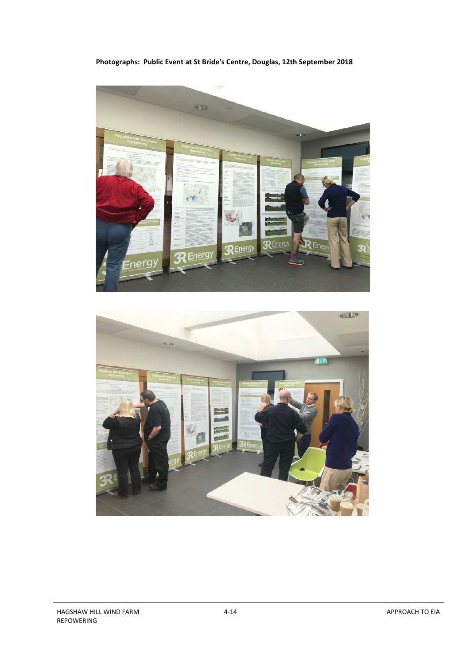**Photographs: Public Event at St Bride's Centre, Douglas, 12th September 2018**



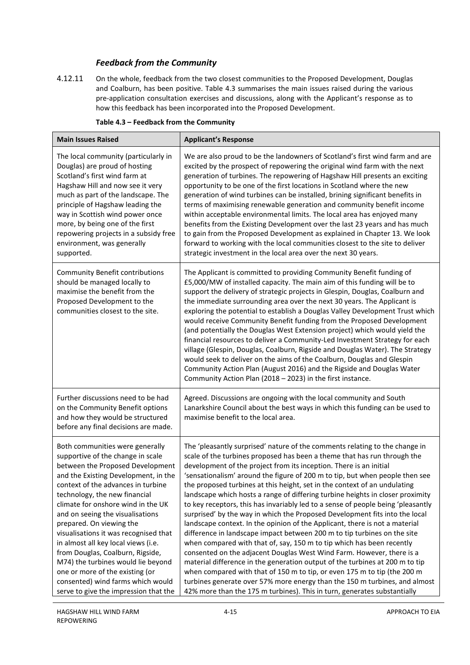### *Feedback from the Community*

4.12.11 On the whole, feedback from the two closest communities to the Proposed Development, Douglas and Coalburn, has been positive. Table 4.3 summarises the main issues raised during the various pre-application consultation exercises and discussions, along with the Applicant's response as to how this feedback has been incorporated into the Proposed Development.

|  |  |  | Table 4.3 - Feedback from the Community |
|--|--|--|-----------------------------------------|
|--|--|--|-----------------------------------------|

| <b>Main Issues Raised</b>                                                                                                                                                                                                                                                                                                                                                                                                                                                                                                                                                                                | <b>Applicant's Response</b>                                                                                                                                                                                                                                                                                                                                                                                                                                                                                                                                                                                                                                                                                                                                                                                                                                                                                                                                                                                                                                                                                                                                                                                                                                                        |
|----------------------------------------------------------------------------------------------------------------------------------------------------------------------------------------------------------------------------------------------------------------------------------------------------------------------------------------------------------------------------------------------------------------------------------------------------------------------------------------------------------------------------------------------------------------------------------------------------------|------------------------------------------------------------------------------------------------------------------------------------------------------------------------------------------------------------------------------------------------------------------------------------------------------------------------------------------------------------------------------------------------------------------------------------------------------------------------------------------------------------------------------------------------------------------------------------------------------------------------------------------------------------------------------------------------------------------------------------------------------------------------------------------------------------------------------------------------------------------------------------------------------------------------------------------------------------------------------------------------------------------------------------------------------------------------------------------------------------------------------------------------------------------------------------------------------------------------------------------------------------------------------------|
| The local community (particularly in<br>Douglas) are proud of hosting<br>Scotland's first wind farm at<br>Hagshaw Hill and now see it very<br>much as part of the landscape. The<br>principle of Hagshaw leading the<br>way in Scottish wind power once<br>more, by being one of the first<br>repowering projects in a subsidy free<br>environment, was generally<br>supported.                                                                                                                                                                                                                          | We are also proud to be the landowners of Scotland's first wind farm and are<br>excited by the prospect of repowering the original wind farm with the next<br>generation of turbines. The repowering of Hagshaw Hill presents an exciting<br>opportunity to be one of the first locations in Scotland where the new<br>generation of wind turbines can be installed, brining significant benefits in<br>terms of maximising renewable generation and community benefit income<br>within acceptable environmental limits. The local area has enjoyed many<br>benefits from the Existing Development over the last 23 years and has much<br>to gain from the Proposed Development as explained in Chapter 13. We look<br>forward to working with the local communities closest to the site to deliver<br>strategic investment in the local area over the next 30 years.                                                                                                                                                                                                                                                                                                                                                                                                              |
| <b>Community Benefit contributions</b><br>should be managed locally to<br>maximise the benefit from the<br>Proposed Development to the<br>communities closest to the site.                                                                                                                                                                                                                                                                                                                                                                                                                               | The Applicant is committed to providing Community Benefit funding of<br>£5,000/MW of installed capacity. The main aim of this funding will be to<br>support the delivery of strategic projects in Glespin, Douglas, Coalburn and<br>the immediate surrounding area over the next 30 years. The Applicant is<br>exploring the potential to establish a Douglas Valley Development Trust which<br>would receive Community Benefit funding from the Proposed Development<br>(and potentially the Douglas West Extension project) which would yield the<br>financial resources to deliver a Community-Led Investment Strategy for each<br>village (Glespin, Douglas, Coalburn, Rigside and Douglas Water). The Strategy<br>would seek to deliver on the aims of the Coalburn, Douglas and Glespin<br>Community Action Plan (August 2016) and the Rigside and Douglas Water<br>Community Action Plan (2018 - 2023) in the first instance.                                                                                                                                                                                                                                                                                                                                               |
| Further discussions need to be had<br>on the Community Benefit options<br>and how they would be structured<br>before any final decisions are made.                                                                                                                                                                                                                                                                                                                                                                                                                                                       | Agreed. Discussions are ongoing with the local community and South<br>Lanarkshire Council about the best ways in which this funding can be used to<br>maximise benefit to the local area.                                                                                                                                                                                                                                                                                                                                                                                                                                                                                                                                                                                                                                                                                                                                                                                                                                                                                                                                                                                                                                                                                          |
| Both communities were generally<br>supportive of the change in scale<br>between the Proposed Development<br>and the Existing Development, in the<br>context of the advances in turbine<br>technology, the new financial<br>climate for onshore wind in the UK<br>and on seeing the visualisations<br>prepared. On viewing the<br>visualisations it was recognised that<br>in almost all key local views (i.e.<br>from Douglas, Coalburn, Rigside,<br>M74) the turbines would lie beyond<br>one or more of the existing (or<br>consented) wind farms which would<br>serve to give the impression that the | The 'pleasantly surprised' nature of the comments relating to the change in<br>scale of the turbines proposed has been a theme that has run through the<br>development of the project from its inception. There is an initial<br>'sensationalism' around the figure of 200 m to tip, but when people then see<br>the proposed turbines at this height, set in the context of an undulating<br>landscape which hosts a range of differing turbine heights in closer proximity<br>to key receptors, this has invariably led to a sense of people being 'pleasantly<br>surprised' by the way in which the Proposed Development fits into the local<br>landscape context. In the opinion of the Applicant, there is not a material<br>difference in landscape impact between 200 m to tip turbines on the site<br>when compared with that of, say, 150 m to tip which has been recently<br>consented on the adjacent Douglas West Wind Farm. However, there is a<br>material difference in the generation output of the turbines at 200 m to tip<br>when compared with that of 150 m to tip, or even 175 m to tip (the 200 m<br>turbines generate over 57% more energy than the 150 m turbines, and almost<br>42% more than the 175 m turbines). This in turn, generates substantially |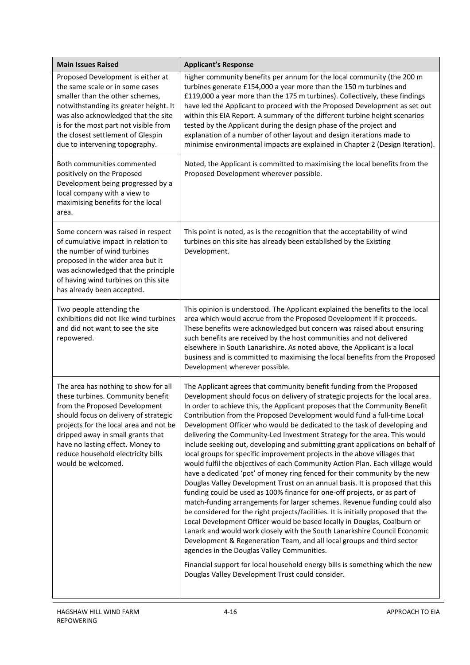| <b>Main Issues Raised</b>                                                                                                                                                                                                                                                                                                          | <b>Applicant's Response</b>                                                                                                                                                                                                                                                                                                                                                                                                                                                                                                                                                                                                                                                                                                                                                                                                                                                                                                                                                                                                                                                                                                                                                                                                                                                                                                                                                                                                                                                                                                                                      |
|------------------------------------------------------------------------------------------------------------------------------------------------------------------------------------------------------------------------------------------------------------------------------------------------------------------------------------|------------------------------------------------------------------------------------------------------------------------------------------------------------------------------------------------------------------------------------------------------------------------------------------------------------------------------------------------------------------------------------------------------------------------------------------------------------------------------------------------------------------------------------------------------------------------------------------------------------------------------------------------------------------------------------------------------------------------------------------------------------------------------------------------------------------------------------------------------------------------------------------------------------------------------------------------------------------------------------------------------------------------------------------------------------------------------------------------------------------------------------------------------------------------------------------------------------------------------------------------------------------------------------------------------------------------------------------------------------------------------------------------------------------------------------------------------------------------------------------------------------------------------------------------------------------|
| Proposed Development is either at<br>the same scale or in some cases<br>smaller than the other schemes,<br>notwithstanding its greater height. It<br>was also acknowledged that the site<br>is for the most part not visible from<br>the closest settlement of Glespin<br>due to intervening topography.                           | higher community benefits per annum for the local community (the 200 m<br>turbines generate £154,000 a year more than the 150 m turbines and<br>£119,000 a year more than the 175 m turbines). Collectively, these findings<br>have led the Applicant to proceed with the Proposed Development as set out<br>within this EIA Report. A summary of the different turbine height scenarios<br>tested by the Applicant during the design phase of the project and<br>explanation of a number of other layout and design iterations made to<br>minimise environmental impacts are explained in Chapter 2 (Design Iteration).                                                                                                                                                                                                                                                                                                                                                                                                                                                                                                                                                                                                                                                                                                                                                                                                                                                                                                                                         |
| Both communities commented<br>positively on the Proposed<br>Development being progressed by a<br>local company with a view to<br>maximising benefits for the local<br>area.                                                                                                                                                        | Noted, the Applicant is committed to maximising the local benefits from the<br>Proposed Development wherever possible.                                                                                                                                                                                                                                                                                                                                                                                                                                                                                                                                                                                                                                                                                                                                                                                                                                                                                                                                                                                                                                                                                                                                                                                                                                                                                                                                                                                                                                           |
| Some concern was raised in respect<br>of cumulative impact in relation to<br>the number of wind turbines<br>proposed in the wider area but it<br>was acknowledged that the principle<br>of having wind turbines on this site<br>has already been accepted.                                                                         | This point is noted, as is the recognition that the acceptability of wind<br>turbines on this site has already been established by the Existing<br>Development.                                                                                                                                                                                                                                                                                                                                                                                                                                                                                                                                                                                                                                                                                                                                                                                                                                                                                                                                                                                                                                                                                                                                                                                                                                                                                                                                                                                                  |
| Two people attending the<br>exhibitions did not like wind turbines<br>and did not want to see the site<br>repowered.                                                                                                                                                                                                               | This opinion is understood. The Applicant explained the benefits to the local<br>area which would accrue from the Proposed Development if it proceeds.<br>These benefits were acknowledged but concern was raised about ensuring<br>such benefits are received by the host communities and not delivered<br>elsewhere in South Lanarkshire. As noted above, the Applicant is a local<br>business and is committed to maximising the local benefits from the Proposed<br>Development wherever possible.                                                                                                                                                                                                                                                                                                                                                                                                                                                                                                                                                                                                                                                                                                                                                                                                                                                                                                                                                                                                                                                           |
| The area has nothing to show for all<br>these turbines. Community benefit<br>from the Proposed Development<br>should focus on delivery of strategic<br>projects for the local area and not be<br>dripped away in small grants that<br>have no lasting effect. Money to<br>reduce household electricity bills<br>would be welcomed. | The Applicant agrees that community benefit funding from the Proposed<br>Development should focus on delivery of strategic projects for the local area.<br>In order to achieve this, the Applicant proposes that the Community Benefit<br>Contribution from the Proposed Development would fund a full-time Local<br>Development Officer who would be dedicated to the task of developing and<br>delivering the Community-Led Investment Strategy for the area. This would<br>include seeking out, developing and submitting grant applications on behalf of<br>local groups for specific improvement projects in the above villages that<br>would fulfil the objectives of each Community Action Plan. Each village would<br>have a dedicated 'pot' of money ring fenced for their community by the new<br>Douglas Valley Development Trust on an annual basis. It is proposed that this<br>funding could be used as 100% finance for one-off projects, or as part of<br>match-funding arrangements for larger schemes. Revenue funding could also<br>be considered for the right projects/facilities. It is initially proposed that the<br>Local Development Officer would be based locally in Douglas, Coalburn or<br>Lanark and would work closely with the South Lanarkshire Council Economic<br>Development & Regeneration Team, and all local groups and third sector<br>agencies in the Douglas Valley Communities.<br>Financial support for local household energy bills is something which the new<br>Douglas Valley Development Trust could consider. |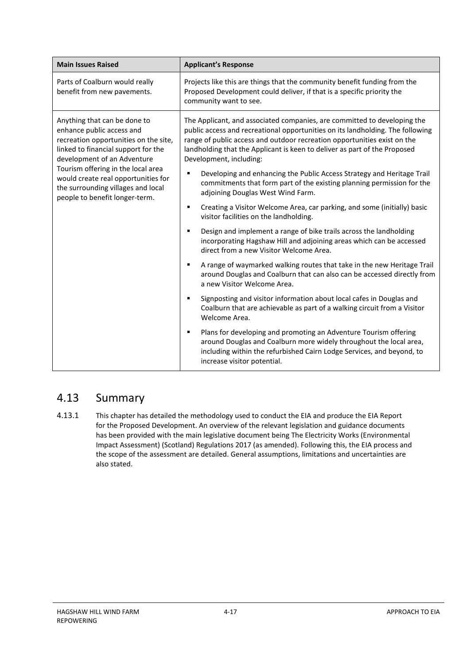| <b>Main Issues Raised</b>                                                                                                                                                | <b>Applicant's Response</b>                                                                                                                                                                                                                                                                                                                    |  |
|--------------------------------------------------------------------------------------------------------------------------------------------------------------------------|------------------------------------------------------------------------------------------------------------------------------------------------------------------------------------------------------------------------------------------------------------------------------------------------------------------------------------------------|--|
| Parts of Coalburn would really<br>benefit from new pavements.                                                                                                            | Projects like this are things that the community benefit funding from the<br>Proposed Development could deliver, if that is a specific priority the<br>community want to see.                                                                                                                                                                  |  |
| Anything that can be done to<br>enhance public access and<br>recreation opportunities on the site,<br>linked to financial support for the<br>development of an Adventure | The Applicant, and associated companies, are committed to developing the<br>public access and recreational opportunities on its landholding. The following<br>range of public access and outdoor recreation opportunities exist on the<br>landholding that the Applicant is keen to deliver as part of the Proposed<br>Development, including: |  |
| Tourism offering in the local area<br>would create real opportunities for<br>the surrounding villages and local<br>people to benefit longer-term.                        | Developing and enhancing the Public Access Strategy and Heritage Trail<br>٠<br>commitments that form part of the existing planning permission for the<br>adjoining Douglas West Wind Farm.                                                                                                                                                     |  |
|                                                                                                                                                                          | Creating a Visitor Welcome Area, car parking, and some (initially) basic<br>٠<br>visitor facilities on the landholding.                                                                                                                                                                                                                        |  |
|                                                                                                                                                                          | Design and implement a range of bike trails across the landholding<br>٠<br>incorporating Hagshaw Hill and adjoining areas which can be accessed<br>direct from a new Visitor Welcome Area.                                                                                                                                                     |  |
|                                                                                                                                                                          | A range of waymarked walking routes that take in the new Heritage Trail<br>٠<br>around Douglas and Coalburn that can also can be accessed directly from<br>a new Visitor Welcome Area.                                                                                                                                                         |  |
|                                                                                                                                                                          | Signposting and visitor information about local cafes in Douglas and<br>٠<br>Coalburn that are achievable as part of a walking circuit from a Visitor<br>Welcome Area.                                                                                                                                                                         |  |
|                                                                                                                                                                          | Plans for developing and promoting an Adventure Tourism offering<br>٠<br>around Douglas and Coalburn more widely throughout the local area,<br>including within the refurbished Cairn Lodge Services, and beyond, to<br>increase visitor potential.                                                                                            |  |

## <span id="page-18-0"></span>4.13 Summary

4.13.1 This chapter has detailed the methodology used to conduct the EIA and produce the EIA Report for the Proposed Development. An overview of the relevant legislation and guidance documents has been provided with the main legislative document being The Electricity Works (Environmental Impact Assessment) (Scotland) Regulations 2017 (as amended). Following this, the EIA process and the scope of the assessment are detailed. General assumptions, limitations and uncertainties are also stated.